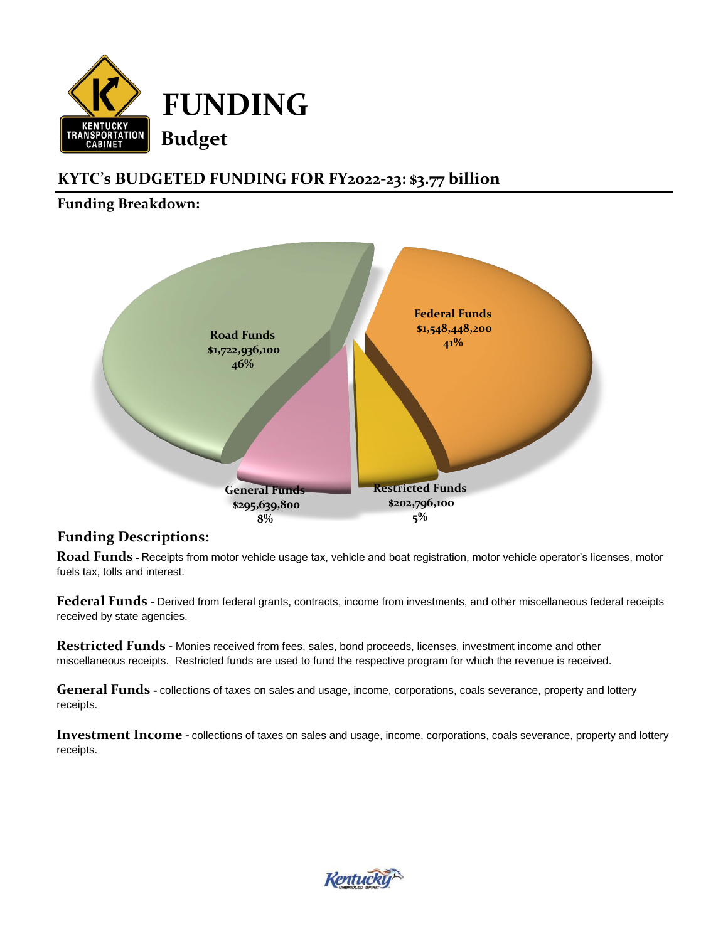

# **KYTC's BUDGETED FUNDING FOR FY2022-23: \$3.77 billion**

## **Funding Breakdown:**



### **Funding Descriptions:**

**Road Funds** - Receipts from motor vehicle usage tax, vehicle and boat registration, motor vehicle operator's licenses, motor fuels tax, tolls and interest.

**Federal Funds** - Derived from federal grants, contracts, income from investments, and other miscellaneous federal receipts received by state agencies.

**Restricted Funds** - Monies received from fees, sales, bond proceeds, licenses, investment income and other miscellaneous receipts. Restricted funds are used to fund the respective program for which the revenue is received.

**General Funds** - collections of taxes on sales and usage, income, corporations, coals severance, property and lottery receipts.

**Investment Income** - collections of taxes on sales and usage, income, corporations, coals severance, property and lottery receipts.

Kentuc